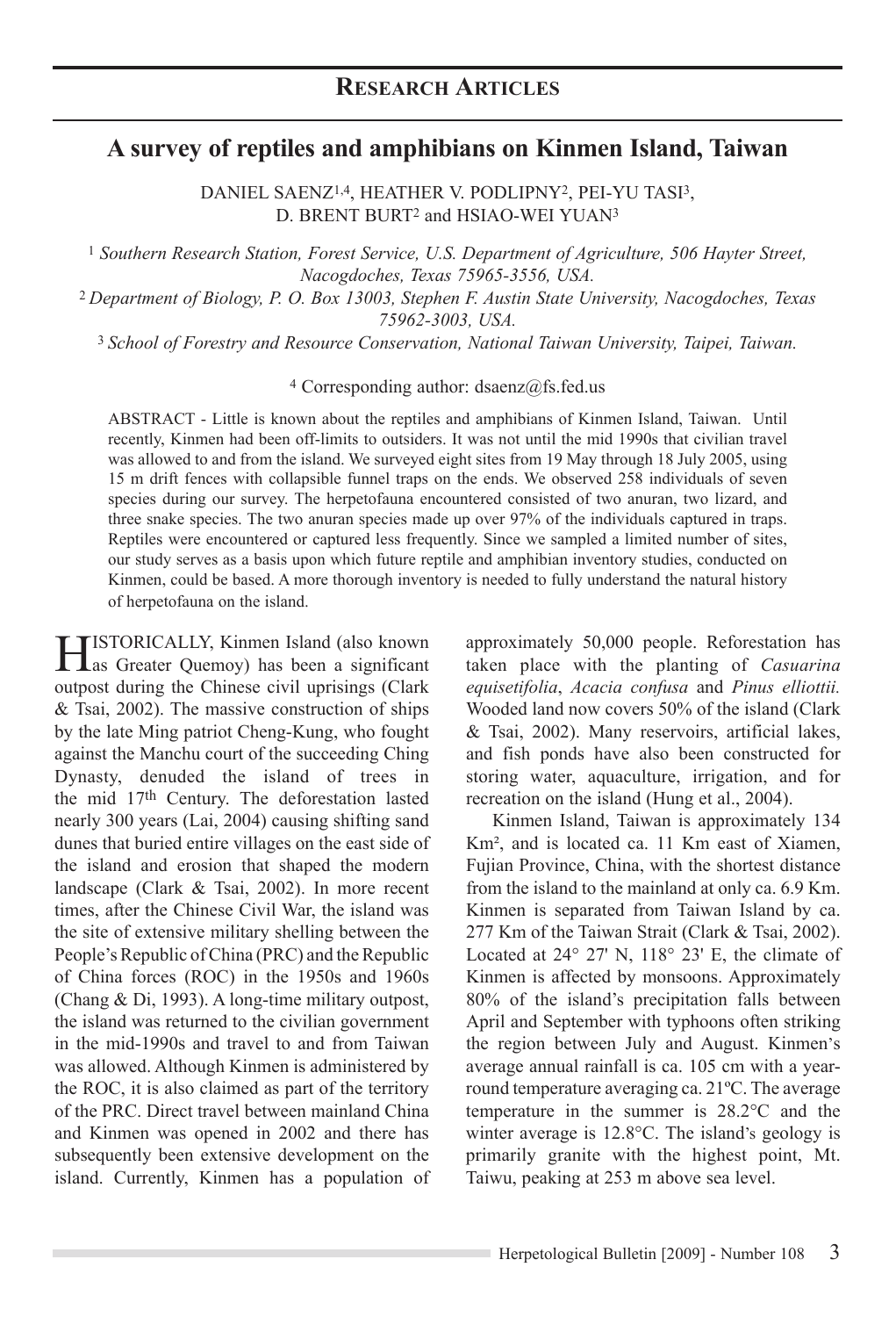# **A survey of reptiles and amphibians on Kinmen Island, Taiwan**

Daniel Saenz1,4, Heather V. Podlipny2, Pei-Yu Tasi3, D. BRENT BURT<sup>2</sup> and HSIAO-WEI YUAN<sup>3</sup>

<sup>1</sup> *Southern Research Station, Forest Service, U.S. Department of Agriculture, 506 Hayter Street, Nacogdoches, Texas 75965-3556, USA.*

<sup>2</sup>*Department of Biology, P. O. Box 13003, Stephen F. Austin State University, Nacogdoches, Texas 75962-3003, USA.*

<sup>3</sup>*School of Forestry and Resource Conservation, National Taiwan University, Taipei, Taiwan.*

 $4$  Corresponding author: dsaenz@fs.fed.us

ABSTRACT - Little is known about the reptiles and amphibians of Kinmen Island, Taiwan. Until recently, Kinmen had been off-limits to outsiders. It was not until the mid 1990s that civilian travel was allowed to and from the island. We surveyed eight sites from 19 May through 18 July 2005, using 15 m drift fences with collapsible funnel traps on the ends. We observed 258 individuals of seven species during our survey. The herpetofauna encountered consisted of two anuran, two lizard, and three snake species. The two anuran species made up over 97% of the individuals captured in traps. Reptiles were encountered or captured less frequently. Since we sampled a limited number of sites, our study serves as a basis upon which future reptile and amphibian inventory studies, conducted on Kinmen, could be based. A more thorough inventory is needed to fully understand the natural history of herpetofauna on the island.

HISTORICALLY, Kinmen Island (also known)<br>as Greater Quemoy) has been a significant outpost during the Chinese civil uprisings (Clark & Tsai, 2002). The massive construction of ships by the late Ming patriot Cheng-Kung, who fought against the Manchu court of the succeeding Ching Dynasty, denuded the island of trees in the mid 17th Century. The deforestation lasted nearly 300 years (Lai, 2004) causing shifting sand dunes that buried entire villages on the east side of the island and erosion that shaped the modern landscape (Clark & Tsai, 2002). In more recent times, after the Chinese Civil War, the island was the site of extensive military shelling between the People's Republic of China (PRC) and the Republic of China forces (ROC) in the 1950s and 1960s (Chang & Di, 1993). A long-time military outpost, the island was returned to the civilian government in the mid-1990s and travel to and from Taiwan was allowed. Although Kinmen is administered by the ROC, it is also claimed as part of the territory of the PRC. Direct travel between mainland China and Kinmen was opened in 2002 and there has subsequently been extensive development on the island. Currently, Kinmen has a population of approximately 50,000 people. Reforestation has taken place with the planting of *Casuarina equisetifolia*, *Acacia confusa* and *Pinus elliottii.* Wooded land now covers 50% of the island (Clark & Tsai, 2002). Many reservoirs, artificial lakes, and fish ponds have also been constructed for storing water, aquaculture, irrigation, and for recreation on the island (Hung et al., 2004).

Kinmen Island, Taiwan is approximately 134 Km², and is located ca. 11 Km east of Xiamen, Fujian Province, China, with the shortest distance from the island to the mainland at only ca. 6.9 Km. Kinmen is separated from Taiwan Island by ca. 277 Km of the Taiwan Strait (Clark & Tsai, 2002). Located at 24° 27' N, 118° 23' E, the climate of Kinmen is affected by monsoons. Approximately 80% of the island's precipitation falls between April and September with typhoons often striking the region between July and August. Kinmen's average annual rainfall is ca. 105 cm with a yearround temperature averaging ca. 21ºC. The average temperature in the summer is 28.2°C and the winter average is 12.8°C. The island's geology is primarily granite with the highest point, Mt. Taiwu, peaking at 253 m above sea level.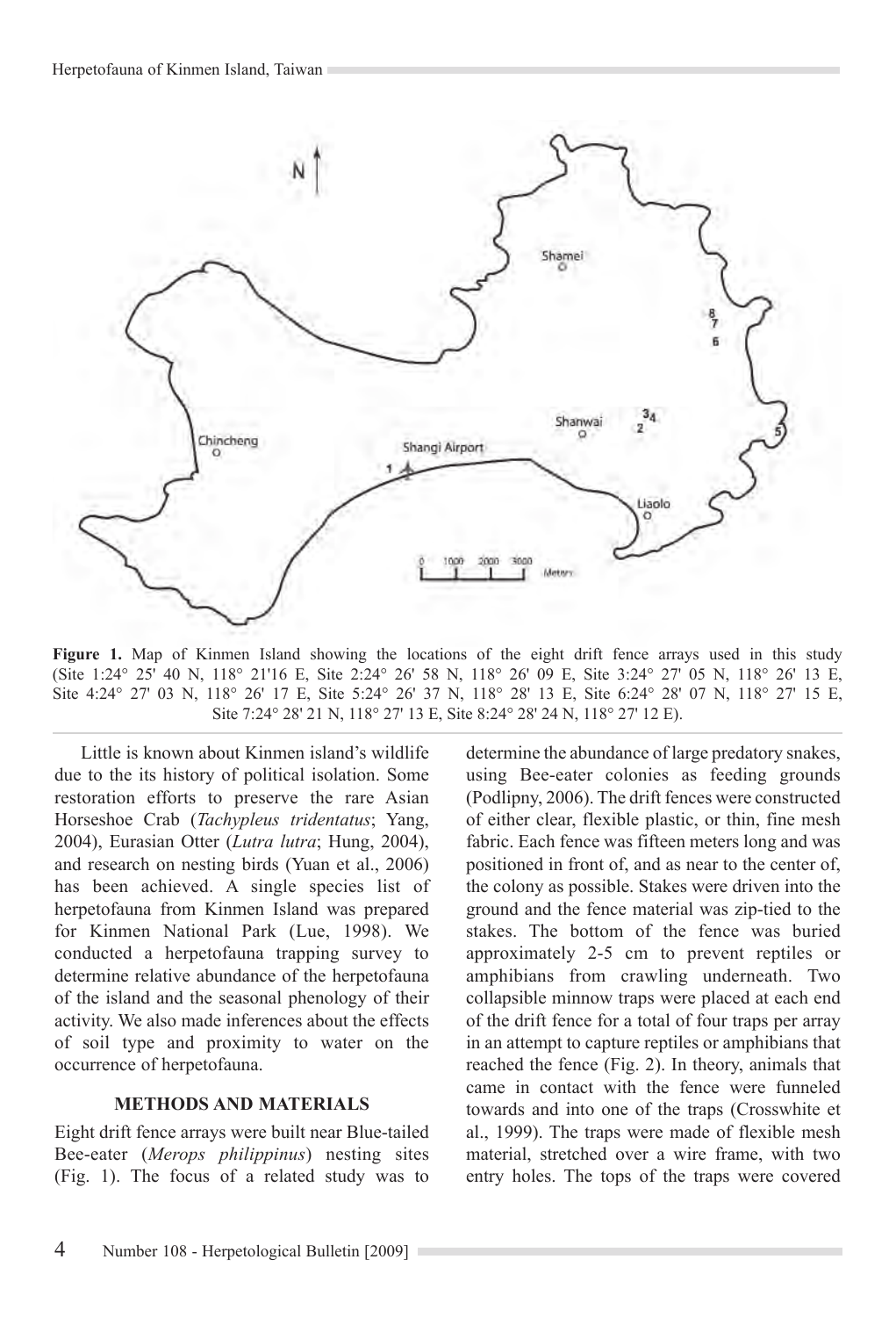

Figure 1. Map of Kinmen Island showing the locations of the eight drift fence arrays used in this study (Site 1:24° 25' 40 N, 118° 21'16 E, Site 2:24° 26' 58 N, 118° 26' 09 E, Site 3:24° 27' 05 N, 118° 26' 13 E, Site 4:24° 27' 03 N, 118° 26' 17 E, Site 5:24° 26' 37 N, 118° 28' 13 E, Site 6:24° 28' 07 N, 118° 27' 15 E, Site 7:24° 28' 21 N, 118° 27' 13 E, Site 8:24° 28' 24 N, 118° 27' 12 E).

Little is known about Kinmen island's wildlife due to the its history of political isolation. Some restoration efforts to preserve the rare Asian Horseshoe Crab (*Tachypleus tridentatus*; Yang, 2004), Eurasian Otter (*Lutra lutra*; Hung, 2004), and research on nesting birds (Yuan et al., 2006) has been achieved. A single species list of herpetofauna from Kinmen Island was prepared for Kinmen National Park (Lue, 1998). We conducted a herpetofauna trapping survey to determine relative abundance of the herpetofauna of the island and the seasonal phenology of their activity. We also made inferences about the effects of soil type and proximity to water on the occurrence of herpetofauna.

# **METHODS AND MATERIALS**

Eight drift fence arrays were built near Blue-tailed Bee-eater (*Merops philippinus*) nesting sites (Fig. 1). The focus of a related study was to

determine the abundance of large predatory snakes, using Bee-eater colonies as feeding grounds (Podlipny, 2006). The drift fences were constructed of either clear, flexible plastic, or thin, fine mesh fabric. Each fence was fifteen meters long and was positioned in front of, and as near to the center of, the colony as possible. Stakes were driven into the ground and the fence material was zip-tied to the stakes. The bottom of the fence was buried approximately 2-5 cm to prevent reptiles or amphibians from crawling underneath. Two collapsible minnow traps were placed at each end of the drift fence for a total of four traps per array in an attempt to capture reptiles or amphibians that reached the fence (Fig. 2). In theory, animals that came in contact with the fence were funneled towards and into one of the traps (Crosswhite et al., 1999). The traps were made of flexible mesh material, stretched over a wire frame, with two entry holes. The tops of the traps were covered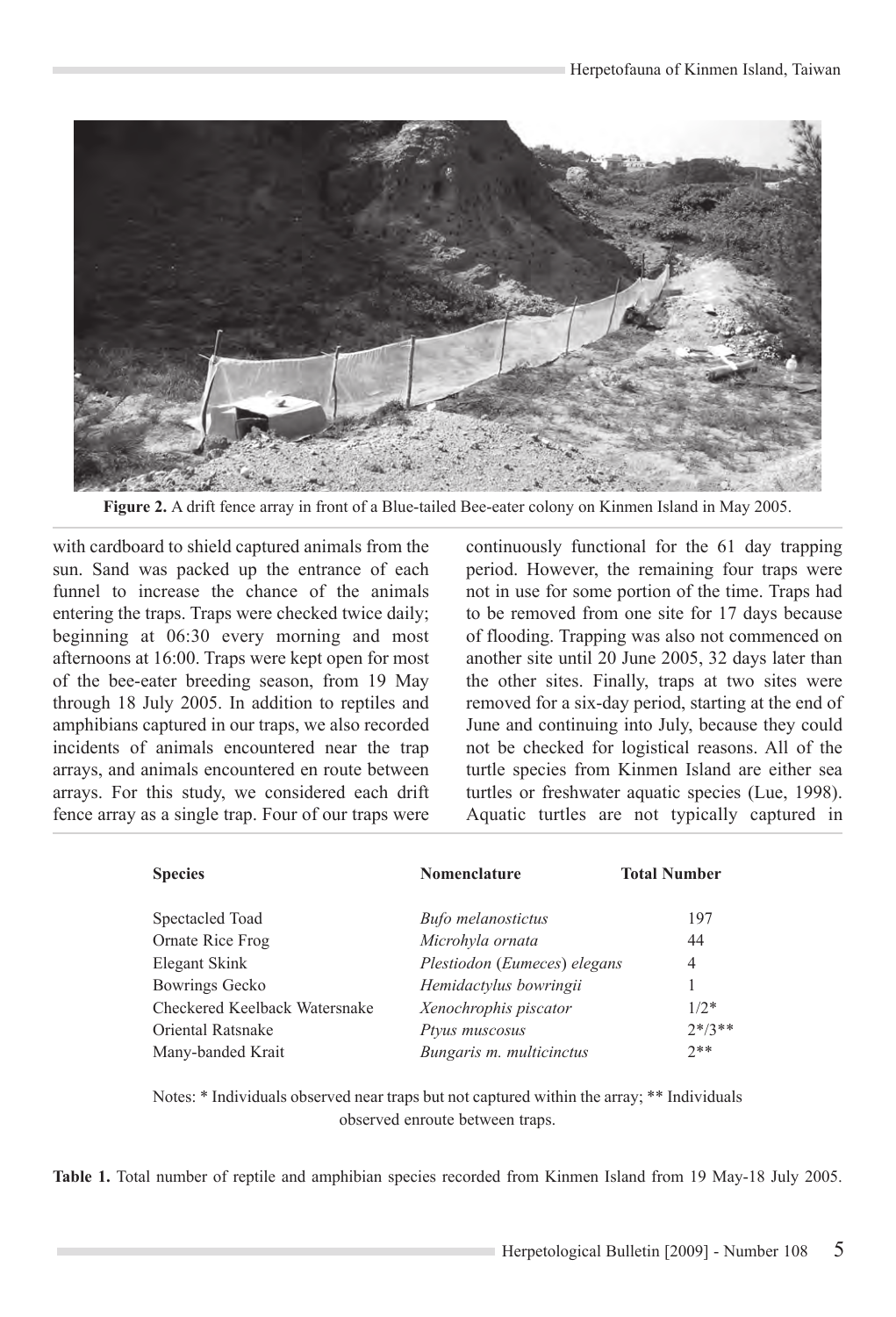

Figure 2. A drift fence array in front of a Blue-tailed Bee-eater colony on Kinmen Island in May 2005.

with cardboard to shield captured animals from the sun. Sand was packed up the entrance of each funnel to increase the chance of the animals entering the traps. Traps were checked twice daily; beginning at 06:30 every morning and most afternoons at 16:00. Traps were kept open for most of the bee-eater breeding season, from 19 May through 18 July 2005. In addition to reptiles and amphibians captured in our traps, we also recorded incidents of animals encountered near the trap arrays, and animals encountered en route between arrays. For this study, we considered each drift fence array as a single trap. Four of our traps were

continuously functional for the 61 day trapping period. However, the remaining four traps were not in use for some portion of the time. Traps had to be removed from one site for 17 days because of flooding. Trapping was also not commenced on another site until 20 June 2005, 32 days later than the other sites. Finally, traps at two sites were removed for a six-day period, starting at the end of June and continuing into July, because they could not be checked for logistical reasons. All of the turtle species from Kinmen Island are either sea turtles or freshwater aquatic species (Lue, 1998). Aquatic turtles are not typically captured in

| <b>Species</b>                | Nomenclature                 | <b>Total Number</b> |
|-------------------------------|------------------------------|---------------------|
| Spectacled Toad               | <b>Bufo</b> melanostictus    | 197                 |
| Ornate Rice Frog              | Microhyla ornata             | 44                  |
| Elegant Skink                 | Plestiodon (Eumeces) elegans | 4                   |
| Bowrings Gecko                | Hemidactylus bowringii       |                     |
| Checkered Keelback Watersnake | Xenochrophis piscator        | $1/2*$              |
| Oriental Ratsnake             | Ptyus muscosus               | $2*/3**$            |
| Many-banded Krait             | Bungaris m. multicinctus     | $2**$               |

Notes: \* Individuals observed near traps but not captured within the array; \*\* Individuals observed enroute between traps.

**Table 1.** Total number of reptile and amphibian species recorded from Kinmen Island from 19 May-18 July 2005.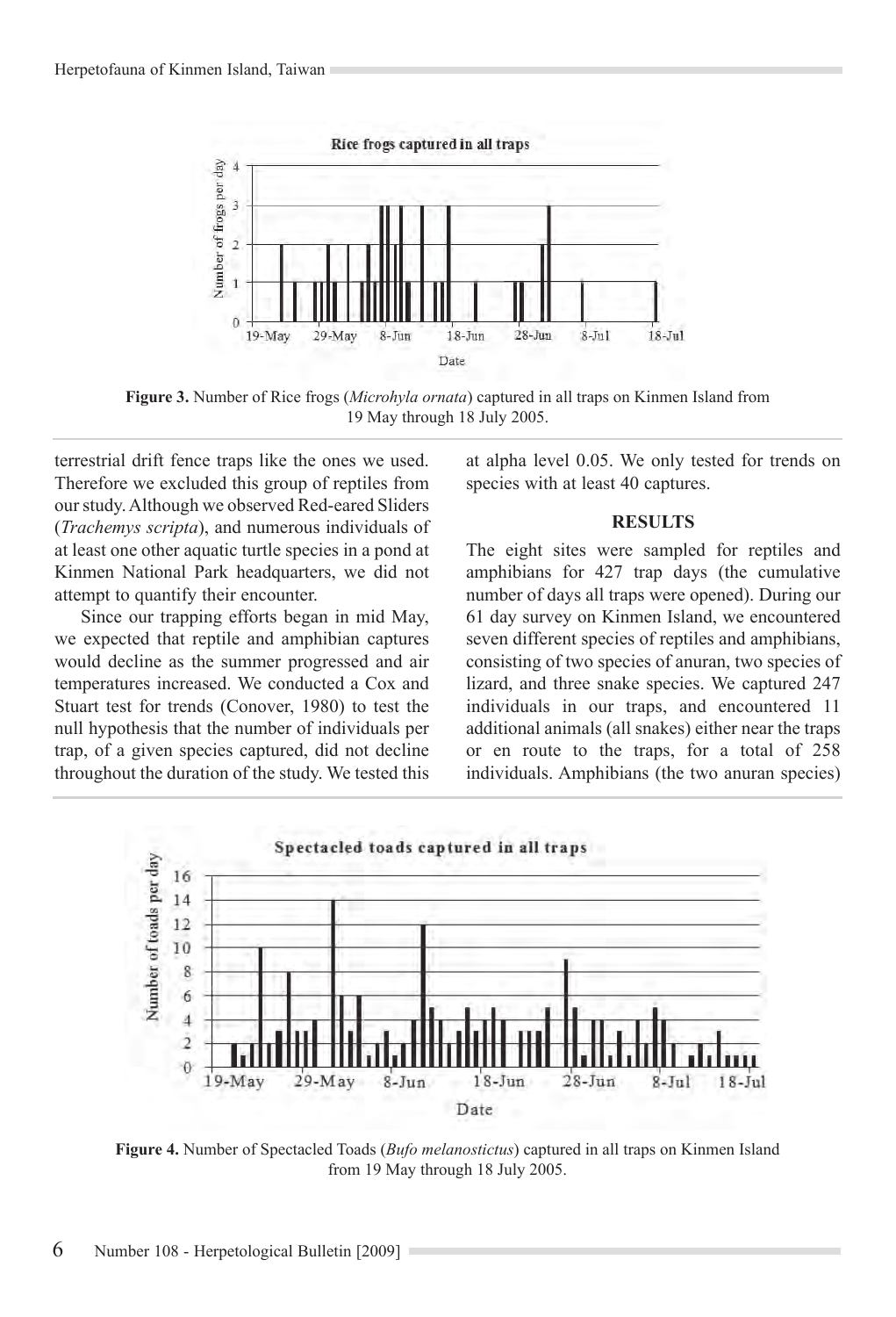

**Figure 3.** Number of Rice frogs (*Microhyla ornata*) captured in all traps on Kinmen Island from 19 May through 18 July 2005.

terrestrial drift fence traps like the ones we used. Therefore we excluded this group of reptiles from our study. Although we observed Red-eared Sliders (*Trachemys scripta*), and numerous individuals of at least one other aquatic turtle species in a pond at Kinmen National Park headquarters, we did not attempt to quantify their encounter.

Since our trapping efforts began in mid May, we expected that reptile and amphibian captures would decline as the summer progressed and air temperatures increased. We conducted a Cox and Stuart test for trends (Conover, 1980) to test the null hypothesis that the number of individuals per trap, of a given species captured, did not decline throughout the duration of the study. We tested this at alpha level 0.05. We only tested for trends on species with at least 40 captures.

#### **RESULTS**

The eight sites were sampled for reptiles and amphibians for 427 trap days (the cumulative number of days all traps were opened). During our 61 day survey on Kinmen Island, we encountered seven different species of reptiles and amphibians, consisting of two species of anuran, two species of lizard, and three snake species. We captured 247 individuals in our traps, and encountered 11 additional animals (all snakes) either near the traps or en route to the traps, for a total of 258 individuals. Amphibians (the two anuran species)



**Figure 4.** Number of Spectacled Toads (*Bufo melanostictus*) captured in all traps on Kinmen Island from 19 May through 18 July 2005.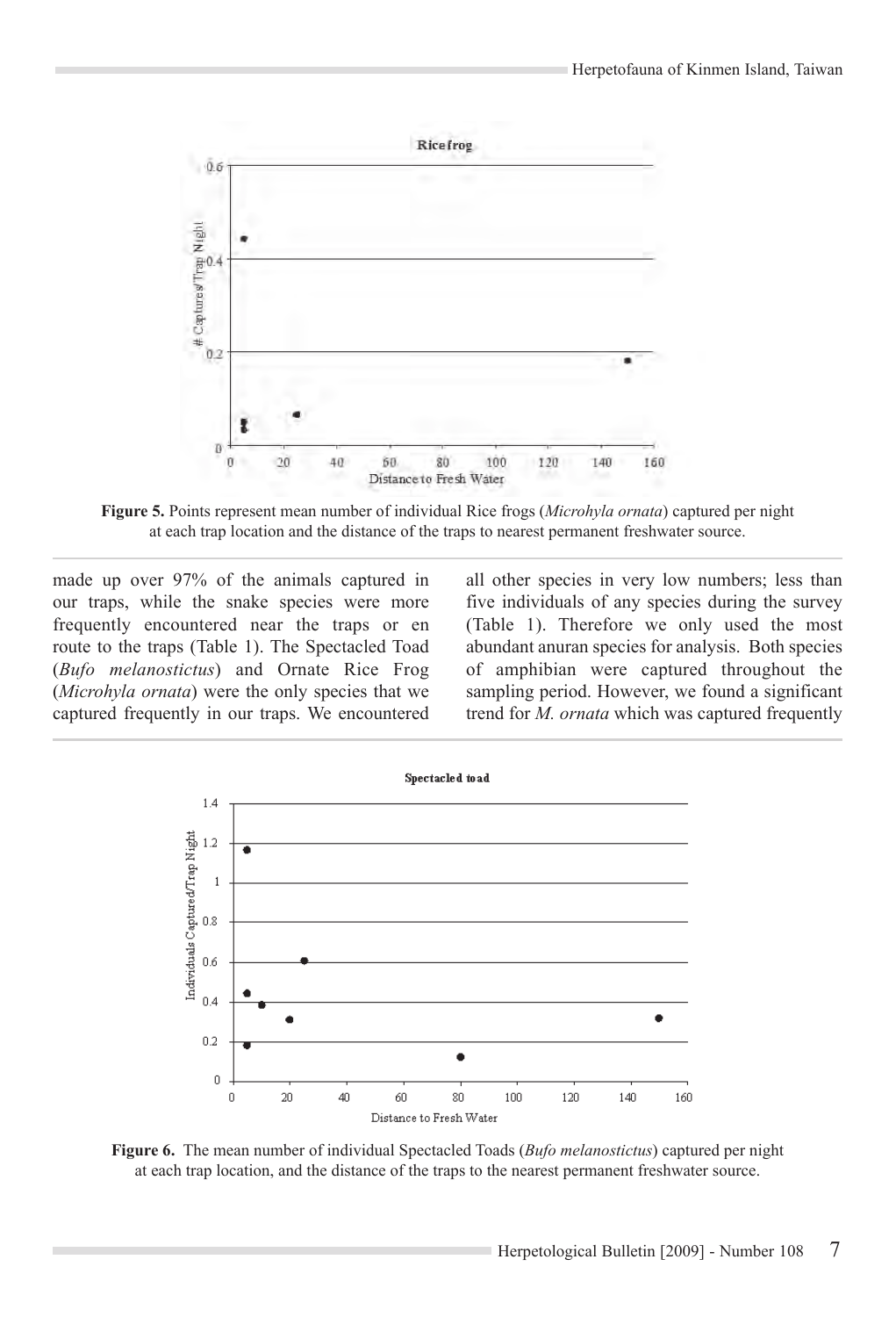

**Figure 5.** Points represent mean number of individual Rice frogs (*Microhyla ornata*) captured per night at each trap location and the distance of the traps to nearest permanent freshwater source.

made up over 97% of the animals captured in our traps, while the snake species were more frequently encountered near the traps or en route to the traps (Table 1). The Spectacled Toad (*Bufo melanostictus*) and Ornate Rice Frog (*Microhyla ornata*) were the only species that we captured frequently in our traps. We encountered all other species in very low numbers; less than five individuals of any species during the survey (Table 1). Therefore we only used the most abundant anuran species for analysis. Both species of amphibian were captured throughout the sampling period. However, we found a significant trend for *M. ornata* which was captured frequently



**Figure 6.** The mean number of individual Spectacled Toads (*Bufo melanostictus*) captured per night at each trap location, and the distance of the traps to the nearest permanent freshwater source.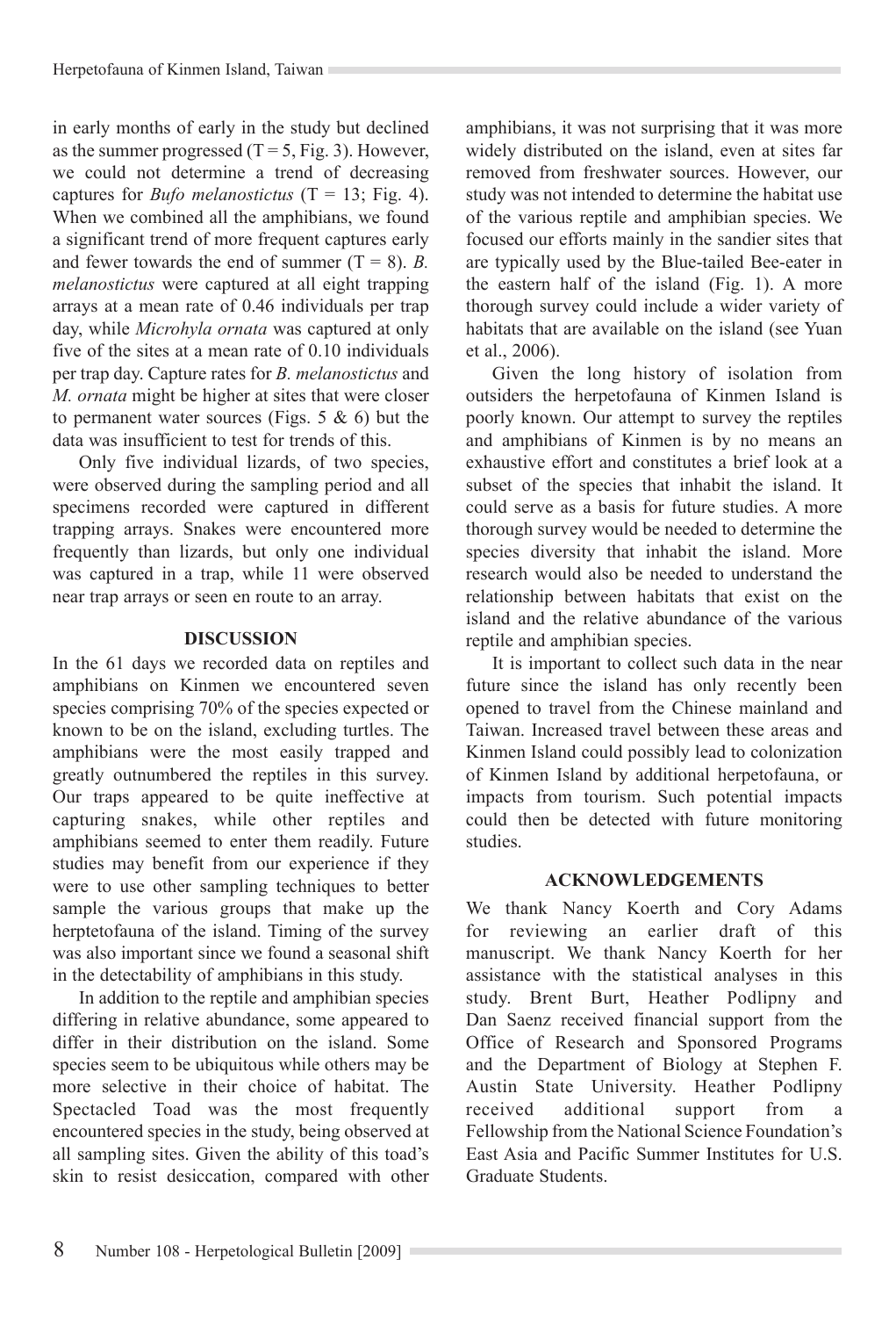in early months of early in the study but declined as the summer progressed  $(T = 5, Fig. 3)$ . However, we could not determine a trend of decreasing captures for *Bufo melanostictus*  $(T = 13; Fig. 4)$ . When we combined all the amphibians, we found a significant trend of more frequent captures early and fewer towards the end of summer  $(T = 8)$ . *B*. *melanostictus* were captured at all eight trapping arrays at a mean rate of 0.46 individuals per trap day, while *Microhyla ornata* was captured at only five of the sites at a mean rate of 0.10 individuals per trap day. Capture rates for *B. melanostictus* and *M. ornata* might be higher at sites that were closer to permanent water sources (Figs. 5  $\&$  6) but the data was insufficient to test for trends of this.

Only five individual lizards, of two species, were observed during the sampling period and all specimens recorded were captured in different trapping arrays. Snakes were encountered more frequently than lizards, but only one individual was captured in a trap, while 11 were observed near trap arrays or seen en route to an array.

#### **DISCUSSION**

In the 61 days we recorded data on reptiles and amphibians on Kinmen we encountered seven species comprising 70% of the species expected or known to be on the island, excluding turtles. The amphibians were the most easily trapped and greatly outnumbered the reptiles in this survey. Our traps appeared to be quite ineffective at capturing snakes, while other reptiles and amphibians seemed to enter them readily. Future studies may benefit from our experience if they were to use other sampling techniques to better sample the various groups that make up the herptetofauna of the island. Timing of the survey was also important since we found a seasonal shift in the detectability of amphibians in this study.

In addition to the reptile and amphibian species differing in relative abundance, some appeared to differ in their distribution on the island. Some species seem to be ubiquitous while others may be more selective in their choice of habitat. The Spectacled Toad was the most frequently encountered species in the study, being observed at all sampling sites. Given the ability of this toad's skin to resist desiccation, compared with other amphibians, it was not surprising that it was more widely distributed on the island, even at sites far removed from freshwater sources. However, our study was not intended to determine the habitat use of the various reptile and amphibian species. We focused our efforts mainly in the sandier sites that are typically used by the Blue-tailed Bee-eater in the eastern half of the island (Fig. 1). A more thorough survey could include a wider variety of habitats that are available on the island (see Yuan et al., 2006).

Given the long history of isolation from outsiders the herpetofauna of Kinmen Island is poorly known. Our attempt to survey the reptiles and amphibians of Kinmen is by no means an exhaustive effort and constitutes a brief look at a subset of the species that inhabit the island. It could serve as a basis for future studies. A more thorough survey would be needed to determine the species diversity that inhabit the island. More research would also be needed to understand the relationship between habitats that exist on the island and the relative abundance of the various reptile and amphibian species.

It is important to collect such data in the near future since the island has only recently been opened to travel from the Chinese mainland and Taiwan. Increased travel between these areas and Kinmen Island could possibly lead to colonization of Kinmen Island by additional herpetofauna, or impacts from tourism. Such potential impacts could then be detected with future monitoring studies.

# **Acknowledgements**

We thank Nancy Koerth and Cory Adams for reviewing an earlier draft of this manuscript. We thank Nancy Koerth for her assistance with the statistical analyses in this study. Brent Burt, Heather Podlipny and Dan Saenz received financial support from the Office of Research and Sponsored Programs and the Department of Biology at Stephen F. Austin State University. Heather Podlipny received additional support from a Fellowship from the National Science Foundation's East Asia and Pacific Summer Institutes for U.S. Graduate Students.